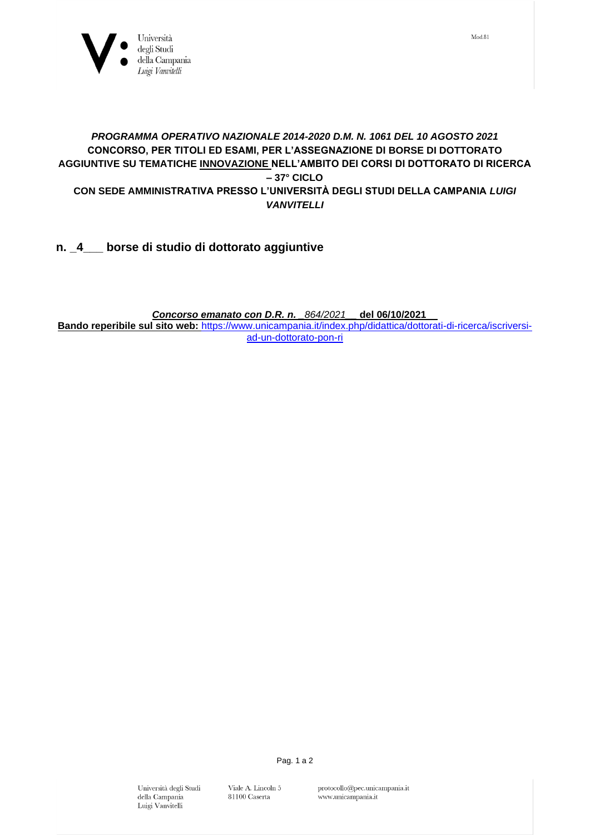

## *PROGRAMMA OPERATIVO NAZIONALE 2014-2020 D.M. N. 1061 DEL 10 AGOSTO 2021*  **CONCORSO, PER TITOLI ED ESAMI, PER L'ASSEGNAZIONE DI BORSE DI DOTTORATO AGGIUNTIVE SU TEMATICHE INNOVAZIONE NELL'AMBITO DEI CORSI DI DOTTORATO DI RICERCA – 37° CICLO CON SEDE AMMINISTRATIVA PRESSO L'UNIVERSITÀ DEGLI STUDI DELLA CAMPANIA** *LUIGI VANVITELLI*

**n. \_4\_\_\_ borse di studio di dottorato aggiuntive**

*Concorso emanato con D.R. n. \_864/2021\_\_* **del 06/10/2021**\_\_ **Bando reperibile sul sito web:** [https://www.unicampania.it/index.php/didattica/dottorati-di-ricerca/iscriversi](https://www.unicampania.it/index.php/didattica/dottorati-di-ricerca/iscriversi-ad-un-dottorato-pon-ri)[ad-un-dottorato-pon-ri](https://www.unicampania.it/index.php/didattica/dottorati-di-ricerca/iscriversi-ad-un-dottorato-pon-ri)

> Università degli Studi della Campania Luigi Vanvitelli

Viale A. Lincoln $5\,$ 81100 Caserta

Pag. 1 a 2

 $Mod.81$